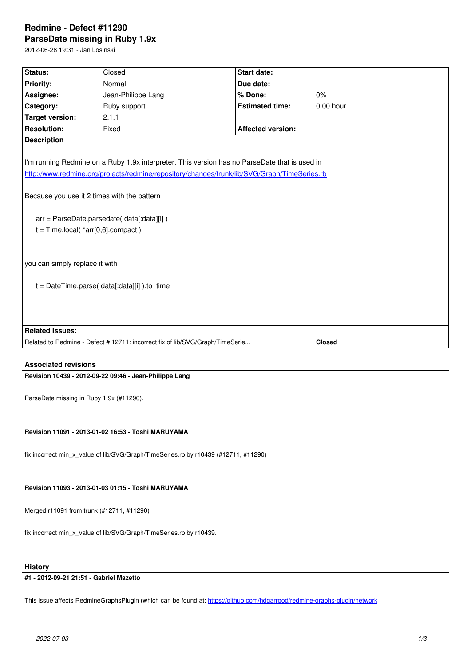#### **ParseDate missing in Ruby 1.9x**

2012-06-28 19:31 - Jan Losinski

| Status:                                                                                                                                                                                                                                                                                                                            | Closed                                                                        | <b>Start date:</b>       |               |
|------------------------------------------------------------------------------------------------------------------------------------------------------------------------------------------------------------------------------------------------------------------------------------------------------------------------------------|-------------------------------------------------------------------------------|--------------------------|---------------|
| <b>Priority:</b>                                                                                                                                                                                                                                                                                                                   | Normal                                                                        | Due date:                |               |
| Assignee:                                                                                                                                                                                                                                                                                                                          | Jean-Philippe Lang                                                            | % Done:                  | 0%            |
| Category:                                                                                                                                                                                                                                                                                                                          | Ruby support                                                                  | <b>Estimated time:</b>   | 0.00 hour     |
| <b>Target version:</b>                                                                                                                                                                                                                                                                                                             | 2.1.1                                                                         |                          |               |
| <b>Resolution:</b>                                                                                                                                                                                                                                                                                                                 | Fixed                                                                         | <b>Affected version:</b> |               |
| <b>Description</b>                                                                                                                                                                                                                                                                                                                 |                                                                               |                          |               |
| I'm running Redmine on a Ruby 1.9x interpreter. This version has no ParseDate that is used in<br>http://www.redmine.org/projects/redmine/repository/changes/trunk/lib/SVG/Graph/TimeSeries.rb<br>Because you use it 2 times with the pattern<br>arr = ParseDate.parsedate( data[:data][i])<br>$t = Time~local(^*arr[0,6].compact)$ |                                                                               |                          |               |
| you can simply replace it with                                                                                                                                                                                                                                                                                                     |                                                                               |                          |               |
| $t = DateTime.parse( data[:data][i])$ .to time                                                                                                                                                                                                                                                                                     |                                                                               |                          |               |
|                                                                                                                                                                                                                                                                                                                                    |                                                                               |                          |               |
| <b>Related issues:</b>                                                                                                                                                                                                                                                                                                             |                                                                               |                          |               |
|                                                                                                                                                                                                                                                                                                                                    | Related to Redmine - Defect # 12711: incorrect fix of lib/SVG/Graph/TimeSerie |                          | <b>Closed</b> |
|                                                                                                                                                                                                                                                                                                                                    |                                                                               |                          |               |

### **Associated revisions**

**Revision 10439 - 2012-09-22 09:46 - Jean-Philippe Lang**

ParseDate missing in Ruby 1.9x (#11290).

### **Revision 11091 - 2013-01-02 16:53 - Toshi MARUYAMA**

fix incorrect min\_x\_value of lib/SVG/Graph/TimeSeries.rb by r10439 (#12711, #11290)

#### **Revision 11093 - 2013-01-03 01:15 - Toshi MARUYAMA**

Merged r11091 from trunk (#12711, #11290)

fix incorrect min\_x\_value of lib/SVG/Graph/TimeSeries.rb by r10439.

#### **History**

#### **#1 - 2012-09-21 21:51 - Gabriel Mazetto**

This issue affects RedmineGraphsPlugin (which can be found at: https://github.com/hdgarrood/redmine-graphs-plugin/network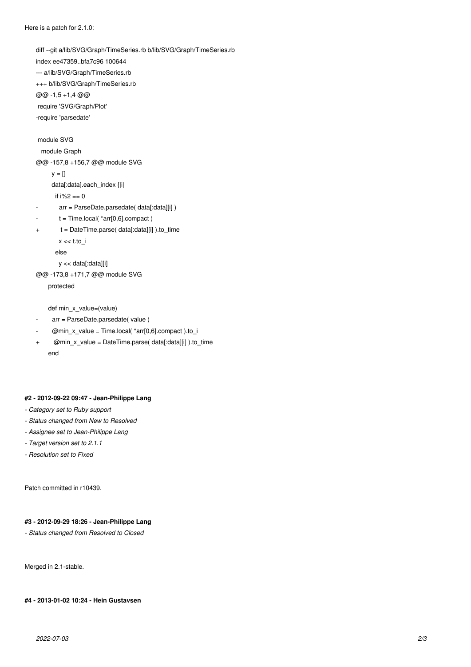diff --git a/lib/SVG/Graph/TimeSeries.rb b/lib/SVG/Graph/TimeSeries.rb index ee47359..bfa7c96 100644 --- a/lib/SVG/Graph/TimeSeries.rb +++ b/lib/SVG/Graph/TimeSeries.rb @@ -1,5 +1,4 @@ require 'SVG/Graph/Plot' -require 'parsedate' module SVG module Graph @@ -157,8 +156,7 @@ module SVG  $y = []$  data[:data].each\_index {|i| if i%2 == 0 arr = ParseDate.parsedate( data[:data][i])  $t = Time.$ local $(*arr[0,6].$ compact) + t = DateTime.parse( data[:data][i] ).to\_time  $x \ll t$ .to\_i else y << data[:data][i] @@ -173,8 +171,7 @@ module SVG protected def min\_x\_value=(value)

# arr = ParseDate.parsedate( value )

 $Qmin_x$  value = Time.local( \*arr[0,6].compact ).to\_i

+ @min\_x\_value = DateTime.parse( data[:data][i] ).to\_time end

#### **#2 - 2012-09-22 09:47 - Jean-Philippe Lang**

- *Category set to Ruby support*
- *Status changed from New to Resolved*
- *Assignee set to Jean-Philippe Lang*
- *Target version set to 2.1.1*
- *Resolution set to Fixed*

Patch committed in r10439.

## **#3 - 2012-09-29 18:26 - Jean-Philippe Lang**

*- Status changed from Resolved to Closed*

Merged in 2.1-stable.

**#4 - 2013-01-02 10:24 - Hein Gustavsen**